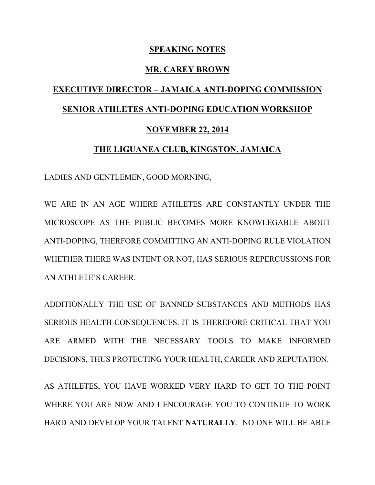## **SPEAKING NOTES**

## **MR. CAREY BROWN**

## **EXECUTIVE DIRECTOR – JAMAICA ANTI-DOPING COMMISSION SENIOR ATHLETES ANTI-DOPING EDUCATION WORKSHOP NOVEMBER 22, 2014**

## **THE LIGUANEA CLUB, KINGSTON, JAMAICA**

LADIES AND GENTLEMEN, GOOD MORNING,

WE ARE IN AN AGE WHERE ATHLETES ARE CONSTANTLY UNDER THE MICROSCOPE AS THE PUBLIC BECOMES MORE KNOWLEGABLE ABOUT ANTI-DOPING, THERFORE COMMITTING AN ANTI-DOPING RULE VIOLATION WHETHER THERE WAS INTENT OR NOT, HAS SERIOUS REPERCUSSIONS FOR AN ATHLETE'S CAREER.

ADDITIONALLY THE USE OF BANNED SUBSTANCES AND METHODS HAS SERIOUS HEALTH CONSEQUENCES. IT IS THEREFORE CRITICAL THAT YOU ARE ARMED WITH THE NECESSARY TOOLS TO MAKE INFORMED DECISIONS, THUS PROTECTING YOUR HEALTH, CAREER AND REPUTATION.

AS ATHLETES, YOU HAVE WORKED VERY HARD TO GET TO THE POINT WHERE YOU ARE NOW AND I ENCOURAGE YOU TO CONTINUE TO WORK HARD AND DEVELOP YOUR TALENT **NATURALLY**. NO ONE WILL BE ABLE